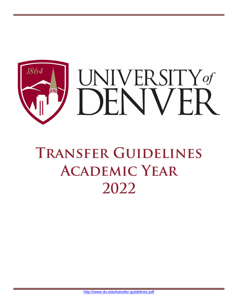

# **TRANSFER GUIDELINES ACADEMIC YEAR** 2022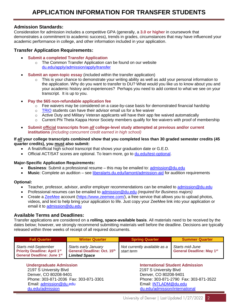#### **Admission Standards:**

Consideration for admission includes a competitive GPA (generally, a **3.0 or higher** in coursework that demonstrates a commitment to academic success), trends in grades, circumstances that may have influenced your academic performance in college, and other information included in your application.

#### **Transfer Application Requirements:**

- **Submit a completed Transfer Application**
	- o The Common Transfer Application can be found on our website [du.edu/apply/admission/apply/transfer](http://www.du.edu/apply/admission/apply/transfer)
- **Submit an open-topic essay** (included within the transfer application)
	- $\circ$  This is your chance to demonstrate your writing ability as well as add your personal information to the application. Why do you want to transfer to DU? What would you like us to know about you and your academic history and experiences? Perhaps you need to add context to what we see on your transcript. It is up to you.
- **Pay the \$65 non-refundable application fee**
	- $\circ$  Fee waivers may be considered on a case-by-case basis for demonstrated financial hardship
	- o TRIO students can have their advisor email us for a fee waiver
	- $\circ$  Active Duty and Military Veteran applicants will have their app fee waived automatically
	- $\circ$  Current Phi Theta Kappa Honor Society members qualify for fee waivers with proof of membership
- **Submit official transcripts from** *all* **college-level study attempted at previous and/or current institutions** *(including concurrent credit earned in high school)*

#### **If** *all* **your college transcripts combined show that you completed less than 30 graded semester credits (45 quarter credits), you must also submit:**

- A final/official high school transcript that shows your graduation date or G.E.D.
- Official ACT/SAT scores are optional. To learn more, go to **du.edu/test-optional**.

#### **Major-Specific Application Requirements:**

- **Business**: Submit a professional resume this may be emailed to: [admission@du.edu](mailto:admission@du.edu)
- **Music**: Complete an audition see [liberalarts.du.edu/lamont/admission-aid](https://liberalarts.du.edu/lamont/admission-aid) for audition requirements

#### **Optional:**

- Teacher, professor, advisor, and/or employer recommendations can be emailed to [admission@du.edu](mailto:admission@du.edu)
- Professional resumes can be emailed to [admission@du.edu](mailto:admission@du.edu) *(required for Business majors)*
- Create a [ZeeMee](https://www.zeemee.com/) account [\(https://www.zeemee.com/\)](https://www.zeemee.com/), a free service that allows you to upload photos, videos, and text to help bring your application to life. Just copy your ZeeMee link into your application or email it to [admission@du.edu](mailto:admission@du.edu)

#### **Available Terms and Deadlines:**

Transfer applications are considered on a **rolling, space-available basis**. All materials need to be received by the dates below; however, we strongly recommend submitting materials well before the deadline. Decisions are typically released within three weeks of receipt of all required documents.

| <b>Fall Quarter</b>                                                                                     | <b>Winter Quarter</b>                                                       | <b>Spring Quarter</b>                      | <b>Summer Quarter</b>                               |
|---------------------------------------------------------------------------------------------------------|-----------------------------------------------------------------------------|--------------------------------------------|-----------------------------------------------------|
| <b>Starts mid-September</b><br><b>Priority Deadline: April 1st</b><br><b>General Deadline: June 1st</b> | Starts early January<br>General Deadline: Oct. 15th<br><b>Limited Space</b> | Not currently available as a<br>start term | Starts mid-June<br><b>General Deadline: May 1st</b> |

 2197 S University Blvd 2197 S University Blvd Denver, CO 80208-9401<br>Phone: 303-871-2036 Fax: 303-871-3301 Phone: 303-871-2790 Fax: 303-871-2790 Prone: 303-871-2790 F Email: [admission@du.edu](mailto:admission@du.edu) Email: [INTLADM@du.edu](mailto:INTLADM@du.edu) [du.edu/admission](http://du.edu/admission) [du.edu/admission/international](https://www.du.edu/admission-aid/undergraduate/international-applicants)

 **Undergraduate Admission International Student Admission** Phone: 303-871-2790 Fax: 303-871-3522

 $\overline{2}$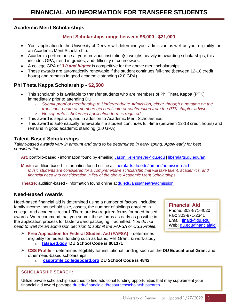## **Academic Merit Scholarships**

### **Merit Scholarships range between \$6,000 - \$21,000**

- Your application to the University of Denver will determine your admission as well as your eligibility for an Academic Merit Scholarship.
- Academic performance at your previous institution(s) weighs heavily in awarding scholarships; this includes GPA, trend in grades, and difficulty of coursework.
- A college GPA of *3.0 and higher* is competitive for the above merit scholarships.
- These awards are automatically renewable if the student continues full-time (between 12-18 credit hours) and remains in good academic standing (2.0 GPA).

# **Phi Theta Kappa Scholarship - \$2,500**

- This scholarship is available to transfer students who are members of Phi Theta Kappa (PTK) immediately prior to attending DU.
	- o *Submit proof of membership to Undergraduate Admission, either through a notation on the transcript, photo of membership certificate or confirmation from the PTK chapter advisor.* o *No separate scholarship application form is required.*
	- This award is separate, and in addition to Academic Merit Scholarships.
- This award is automatically renewable if a student continues full-time (between 12-18 credit hours) and remains in good academic standing (2.0 GPA).

# **Talent-Based Scholarships**

*Talent-based awards vary in amount and tend to be determined in early spring. Apply early for best consideration.*

**Art:** portfolio-based - information found by emailing [Jason.Kellermeyer@du.edu](mailto:Jason.Kellermeyer@du.edu) [| liberalarts.du.edu/art](https://liberalarts.du.edu/art/academics-admissions/admission-aid)

**Music:** audition-based - information found online at [liberalarts.du.edu/lamont/admission-aid](https://liberalarts.du.edu/lamont/admission-aid) *Music students are considered for a comprehensive scholarship that will take talent, academics, and financial need into consideration in lieu of the above Academic Merit Scholarships*

**Theatre:** audition-based - information found online at [du.edu/ahss/theatre/admission](https://www.du.edu/ahss/theatre/admission/) 

# **Need-Based Awards**

Need-based financial aid is determined using a number of factors, including family income, household size, assets, the number of siblings enrolled in college, and academic record. There are two required forms for need-based awards. We recommend that you submit these forms as early as possible in the application process for faster award packaging if admitted. *You do not need to wait for an admission decision to submit the FAFSA or CSS Profile.* 

➢ **Free Application for Federal Student Aid (FAFSA)** – determines eligibility for federal funding such as loans, Pell Grant, & work-study o **[fafsa.ed.gov](https://studentaid.gov/h/apply-for-aid/fafsa) DU School Code is 001371**

**Financial Aid** Phone: 303-871-4020 Fax: 303-871-2341 Email: [finaid@du.edu](mailto:finaid@du.edu) Web: [du.edu/financialaid](http://www.du.edu/financialaid)

- ➢ **CSS Profile** determines eligibility for institutional funding such as the **DU Educational Grant** and other need-based scholarships
	- o **[cssprofile.collegeboard.org](https://cssprofile.collegeboard.org/) DU School Code is 4842**

# **SCHOLARSHIP SEARCH:**

Utilize private scholarship searches to find additional funding opportunities that may supplement your financial aid award package [du.edu/financialaid/resources/scholarshipsearch](https://www.du.edu/admission-aid/financial-aid-scholarships/undergraduate-financial-aid/types-aid/grants-scholarships)

 $\overline{3}$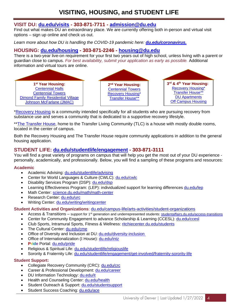# **VISITING, HOUSING, and STUDENT LIFE**

# **VISIT DU: [du.edu/visits](https://www.du.edu/admission-aid/undergraduate/visit) - 303-871-7711 - [admission@du.edu](mailto:admission@du.edu)**

Find out what makes DU an extraordinary place. We are currently offering both in-person and virtual visit options – sign up online and check us out.

Learn more about how DU is handling the COVID-19 pandemic here: *[du.edu/coronavirus.](https://www.du.edu/coronavirus)* 

# **HOUSING: [du.edu/housing](https://www.du.edu/housing/) - 303-871-2246 - [housing@du.edu](mailto:housing@du.edu)**

There is a two-year live-on requirement for your first two years out of high school, unless living with a parent or guardian close to campus. *For best availability, submit your application as early as possible.* Additional information and virtual tours are online.



[\\*Recovery Housing](https://www.du.edu/health-and-counseling-center/collegiate-recovery/index.html?utm_source=marketing-materials&utm_medium=print&utm_campaign=hcc%3Ecrc) is a community intended specifically for all students who are pursuing recovery from substance use and serves a community that is dedicated to a supportive recovery lifestyle.

\*[\\*The Transfer House,](https://www.du.edu/housing/buildings/tlc.html) home to the Transfer Living Community (TLC) is a house with mostly double rooms, located in the center of campus.

Both the Recovery Housing and The Transfer House require community applications in addition to the general housing application.

# **STUDENT LIFE: [du.edu/studentlife/engagement](https://www.du.edu/studentlife/engagement/) - 303-871-3111**

You will find a great variety of programs on campus that will help you get the most out of your DU experience personally, academically, and professionally. Below, you will find a sampling of these programs and resources:

#### **Academic**

- Academic Advising: [du.edu/studentlife/advising](https://www.du.edu/studentlife/advising/)
- Center for World Languages & Culture (CWLC): [du.edu/cwlc](https://www.du.edu/cwlc/index.html)
- Disability Services Program (DSP): [du.edu/dsp](http://www.du.edu/studentlife/disability-services)
- Learning Effectiveness Program: (LEP): individualized support for learning differences [du.edu/lep](http://www.du.edu/studentlife/learningeffectiveness)
- Math Center: [science.du.edu/math/math-center](https://science.du.edu/math/math-center)
- Research Center: [du.edu/urc](https://www.du.edu/urc/)
- Writing Center: [du.edu/writing/writingcenter](https://www.du.edu/writing/writingcenter/)

#### **Student Activities and Organizations**: [du.edu/campus-life/arts-activities/student-organizations](https://www.du.edu/campus-life/arts-activities/student-organizations)

- Access & Transitions support for 1<sup>st</sup> generation and underrepresented students[: studentaffairs.du.edu/access-transitions](https://studentaffairs.du.edu/access-transitions)
- Center for Community Engagement to advance Scholarship & Learning (CCESL): [du.edu/ccesl](https://www.du.edu/ccesl/)
- Club Sports, Intramural Sports, Fitness & Wellness: [ritchiecenter.du.edu/students](http://ritchiecenter.du.edu/students/)
- The Cultural Center: [du.edu/cme](https://www.du.edu/cme/)
- Office of Diversity and Inclusion at DU: [du.edu/diversity-inclusion](https://www.du.edu/diversity-inclusion/)
- Office of Internationalization (I House): [du.edu/intz](https://www.du.edu/intz/)
- **Pride** Portal: [du.edu/pride](https://www.du.edu/pride/)
- Religious & Spiritual Life: [du.edu/studentlife/religiouslife](https://www.du.edu/studentlife/religiouslife/)
- Sorority & Fraternity Life: [du.edu/studentlife/engagement/get-involved/fraternity-sorority-life](https://www.du.edu/studentlife/engagement/get-involved/fraternity-sorority-life.html)

#### **Student Support:**

- Collegiate Recovery Community (CRC): [du.edu/crc](https://www.du.edu/health-and-counseling-center/collegiate-recovery)
- Career & Professional Development: [du.edu/career](https://www.du.edu/career/)
- DU Information Technology: [du.edu/it](https://www.du.edu/it/)
- Health and Counseling Center: [du.edu/health](https://www.du.edu/health-and-counseling-center/index.html)
- Student Outreach & Support: [du.edu/studentsupport](https://www.du.edu/studentlife/studentsupport/index.html)
- Student Success Coaching: [du.edu/ace](https://www.du.edu/studentlife/advising/successresources.html)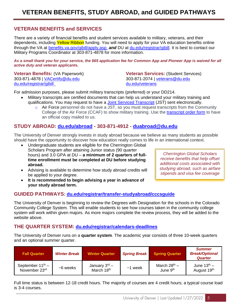# **VETERAN BENEFITS and SERVICES**

There are a variety of financial benefits and student services available to military, veterans, and their dependents, including Yellow Ribbon funding. You will need to apply for your VA education benefits online through the VA at [benefits.va.gov/gibill/apply.asp](https://www.benefits.va.gov/gibill/apply.asp) *and* DU at [du.edu/registrar/gibill.](https://www.du.edu/registrar/gibill.html) It is best to contact our Military Programs Coordinator at 303-871-4878 for more information.

*As a small thank you for your service, the \$65 application fee for Common App and Pioneer App is waived for all active duty and veteran applicants.*

303-871-4878 | [VACertify@du.edu](mailto:VACertify@du.edu) 303-871-2074 | [veterans@du.edu](mailto:veterans@du.edu) [du.edu/registrar/gibill](https://www.du.edu/registrar/gibill.html) [du.edu/veterans](https://www.du.edu/veterans/)

**Veteran Benefits:** (VA Paperwork) **Veteran Services:** (Student Services)

For admission purposes, please submit military transcripts (preferred) or your DD214.

- Military transcripts are certified documents that can help us understand your military training and qualifications. You may request to have a **Joint Serviced Transcript** (JST) sent electronically.
	- o Air Force personnel do not have a JST, so you must request transcripts from the Community College of the Air Force (CCAF) to show military training. Use the [transcript order form](http://www.airuniversity.af.mil/barnes/ccaf) to have an official copy mailed to us.

# **STUDY ABROAD: [du.edu/abroad](https://www.du.edu/abroad/) - 303-871-4912 - [duabroad@du.edu](mailto:duabroad@du.edu)**

The University of Denver strongly invests in study abroad because we believe as many students as possible should have the opportunity to discover how education really comes to life in an international context.

- Undergraduate students are eligible for the Cherrington Global Scholars Program after attaining Junior status (90 quarter hours) and 3.0 GPA at DU – **a minimum of 2 quarters of fulltime enrollment must be completed at DU before studying abroad.**
- Advising is available to determine how study abroad credits will be applied to your degree.
- **It is recommended to begin advising a year in advance of your study abroad term.**

*Cherrington Global Scholars receive benefits that help offset additional costs associated with studying abroad, such as airfare stipends and visa fee coverage*

# **GUIDED PATHWAYS: [du.edu/registrar/transfer-studyabroad/cccsguide](https://www.du.edu/registrar/transfer-studyabroad/cccsguide.html)**

The University of Denver is beginning to review the Degrees with Designation for the schools in the Colorado Community College System. This will enable students to see how courses taken in the community college system will work within given majors. As more majors complete the review process, they will be added to the website above.

# **THE QUARTER SYSTEM: [du.edu/registrar/calendars-deadlines](https://www.du.edu/registrar/calendars-deadlines)**

The University of Denver runs on a **quarter system**. The academic year consists of three 10-week quarters and an optional summer quarter.

| <b>Fall Quarter</b>                                       | <b>Winter Break</b> | <b>Winter Quarter</b>                               | <b>Spring Break</b> | <b>Spring Quarter</b>                            | <b>Summer</b><br><b>Break/Optional</b><br>Quarter |
|-----------------------------------------------------------|---------------------|-----------------------------------------------------|---------------------|--------------------------------------------------|---------------------------------------------------|
| September $11^{\text{th}}$ –<br>November 23 <sup>rd</sup> | $~5$ weeks          | January $3^{\text{rd}}$ –<br>March 18 <sup>th</sup> | $~1$ week           | March 28 <sup>th</sup> –<br>June 9 <sup>th</sup> | June $13th$ –<br>August 19 <sup>th</sup>          |

Full time status is between 12-18 credit hours. The majority of courses are 4 credit hours; a typical course load is 3-4 courses.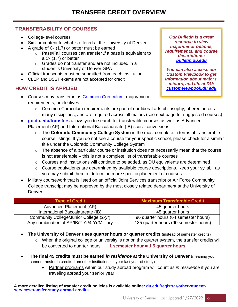# **TRANSFERABILITY OF COURSES**

- College-level courses
- Similar content to what is offered at the University of Denver
- A grade of C- (1.7) or better must be earned
	- o Pass/Fail courses can transfer *if* a pass is equivalent to a C- (1.7) or better
	- o Grades do not transfer and are not included in a student's University of Denver GPA
- Official transcripts must be submitted from each institution
- CLEP and DSST exams are not accepted for credit

# **HOW CREDIT IS APPLIED**

• Courses may transfer in as **Common Curriculum**, major/minor requirements, or electives

*Our Bulletin is a great resource to view major/minor options, requirements, and course descriptions: [bulletin.du.edu](http://bulletin.du.edu/undergraduate/majorsminorscoursedescriptions/traditionalbachelorsprogrammajorandminors/)*

*You can also access our Custom Viewbook to get information about majors, minors, and life at DU: [customviewbook.du.edu](https://customviewbook.du.edu/wizard)*

- o Common Curriculum requirements are part of our liberal arts philosophy, offered across many disciplines, and are required across all majors (see next page for suggested courses)
- **[go.du.edu/transfers](https://go.du.edu/transfers)** allows you to search for transferable courses as well as Advanced Placement (AP) and International Baccalaureate (IB) score conversions
	- o The **Colorado Community College System** is the most complete in terms of transferable course listings. If you do not see a course for your specific school, please check for a similar title under the Colorado Community College System
	- $\circ$  The absence of a particular course or institution does not necessarily mean that the course is not transferable – this is not a complete list of transferable courses
	- o Courses and institutions will continue to be added, as DU equivalents are determined
	- o Course equivalents are determined by available course descriptions. Keep your syllabi, as you may submit them to determine more specific placement of courses
- Military coursework that is listed on an official Joint Services transcript or Air Force Community College transcript may be approved by the most closely related department at the University of Denver

| <b>Type of Credit</b>                       | <b>Maximum Transferable Credit</b>    |
|---------------------------------------------|---------------------------------------|
| Advanced Placement (AP)                     | 45 quarter hours                      |
| International Baccalaureate (IB)            | 45 quarter hours                      |
| Community College/Junior College (2-yr)     | 96 quarter hours (64 semester hours)  |
| Any combination of AP/IB/2-Yr/4-Yr/Military | 135 quarter hours (90 semester hours) |

- **The University of Denver uses quarter hours or quarter credits** (instead of semester credits)
	- $\circ$  When the original college or university is not on the quarter system, the transfer credits will be converted to quarter hours **1 semester hour = 1.5 quarter hours**
- **The final 45 credits must be earned** *in residence* **at the University of Denver** (meaning you cannot transfer in credits from other institutions in your last year of study)
	- Partner programs within our study abroad program will count as *in residence* if you are traveling abroad your senior year

**A more detailed listing of transfer credit policies is available online: [du.edu/registrar/other-student](https://www.du.edu/registrar/other-student-services/transfer-study-abroad-credits)[services/transfer-study-abroad-credits](https://www.du.edu/registrar/other-student-services/transfer-study-abroad-credits)**